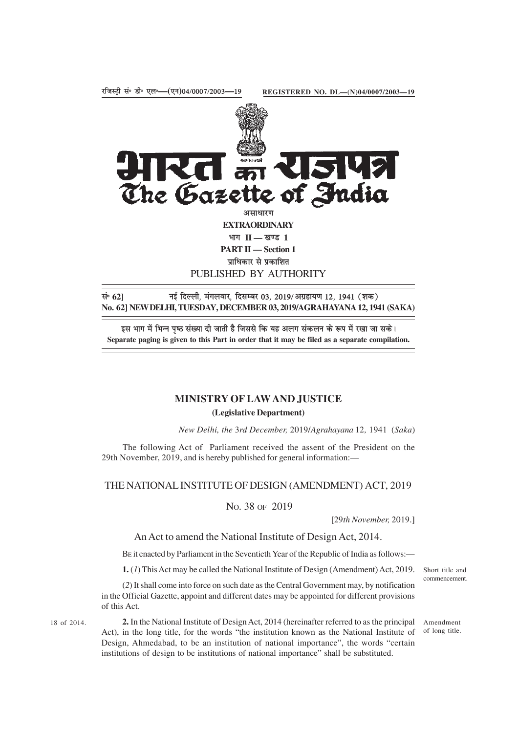

सं॰ 62] <sub>नई</sub> दिल्ली, मंगलवार, दिसम्बर 03, 2019/अग्रहायण 12, 1941 (शक) **No. 62] NEW DELHI, TUESDAY, DECEMBER 03, 2019/AGRAHAYANA 12, 1941 (SAKA)**

इस भाग में भिन्न पृष्ठ संख्या दी जाती है जिससे कि यह अलग संकलन के रूप में रखा जा सके। **Separate paging is given to this Part in order that it may be filed as a separate compilation.**

# **MINISTRY OF LAW AND JUSTICE (Legislative Department)**

*New Delhi, the* 3*rd December,* 2019/*Agrahayana* 12*,* 1941 (*Saka*)

The following Act of Parliament received the assent of the President on the 29th November, 2019, and is hereby published for general information:—

### THE NATIONAL INSTITUTE OF DESIGN (AMENDMENT) ACT, 2019

NO. 38 OF 2019

[29*th November,* 2019.]

## An Act to amend the National Institute of Design Act, 2014.

BE it enacted by Parliament in the Seventieth Year of the Republic of India as follows:—

**1.** (*1*) This Act may be called the National Institute of Design (Amendment) Act, 2019. Short title and

(*2*) It shall come into force on such date as the Central Government may, by notification in the Official Gazette, appoint and different dates may be appointed for different provisions of this Act.

18 of 2014. **2.** In the National Institute of Design Act, 2014 (hereinafter referred to as the principal Amendment Act), in the long title, for the words "the institution known as the National Institute of Design, Ahmedabad, to be an institution of national importance", the words "certain institutions of design to be institutions of national importance" shall be substituted.

commencement.

of long title.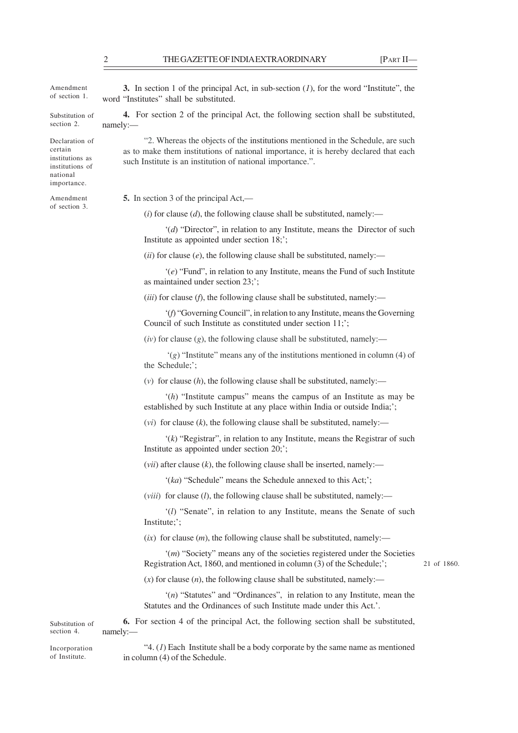Amendment of section 1.

Substitution of section 2.

Declaration of certain institutions as institutions of national importance.

Amendment of section 3.

**3.** In section 1 of the principal Act, in sub-section (*1*), for the word "Institute", the word "Institutes" shall be substituted.

**4.** For section 2 of the principal Act, the following section shall be substituted, namely:—

"2. Whereas the objects of the institutions mentioned in the Schedule, are such as to make them institutions of national importance, it is hereby declared that each such Institute is an institution of national importance.".

**5.** In section 3 of the principal Act,—

 $(i)$  for clause  $(d)$ , the following clause shall be substituted, namely:—

'(*d*) "Director", in relation to any Institute, means the Director of such Institute as appointed under section 18;';

 $(iii)$  for clause  $(e)$ , the following clause shall be substituted, namely:—

'(*e*) "Fund", in relation to any Institute, means the Fund of such Institute as maintained under section 23;';

(*iii*) for clause (*f*), the following clause shall be substituted, namely:—

'(*f*) "Governing Council", in relation to any Institute, means the Governing Council of such Institute as constituted under section 11;';

 $(iv)$  for clause  $(g)$ , the following clause shall be substituted, namely:—

 '(*g*) "Institute" means any of the institutions mentioned in column (4) of the Schedule;';

 $(v)$  for clause  $(h)$ , the following clause shall be substituted, namely:—

'(*h*) "Institute campus" means the campus of an Institute as may be established by such Institute at any place within India or outside India;';

 $(vi)$  for clause  $(k)$ , the following clause shall be substituted, namely:—

'(*k*) "Registrar", in relation to any Institute, means the Registrar of such Institute as appointed under section 20;';

(*vii*) after clause (*k*), the following clause shall be inserted, namely:—

'(*ka*) "Schedule" means the Schedule annexed to this Act;';

(*viii*) for clause (*l*), the following clause shall be substituted, namely:—

'(*l*) "Senate", in relation to any Institute, means the Senate of such Institute;';

 $(ix)$  for clause  $(m)$ , the following clause shall be substituted, namely:—

'(*m*) "Society" means any of the societies registered under the Societies Registration Act, 1860, and mentioned in column (3) of the Schedule;';

21 of 1860.

 $(x)$  for clause  $(n)$ , the following clause shall be substituted, namely:—

'(*n*) "Statutes" and "Ordinances", in relation to any Institute, mean the Statutes and the Ordinances of such Institute made under this Act.'.

**6.** For section 4 of the principal Act, the following section shall be substituted, namely:— Substitution of section 4.

Incorporation of Institute.

"4. (*1*) Each Institute shall be a body corporate by the same name as mentioned in column (4) of the Schedule.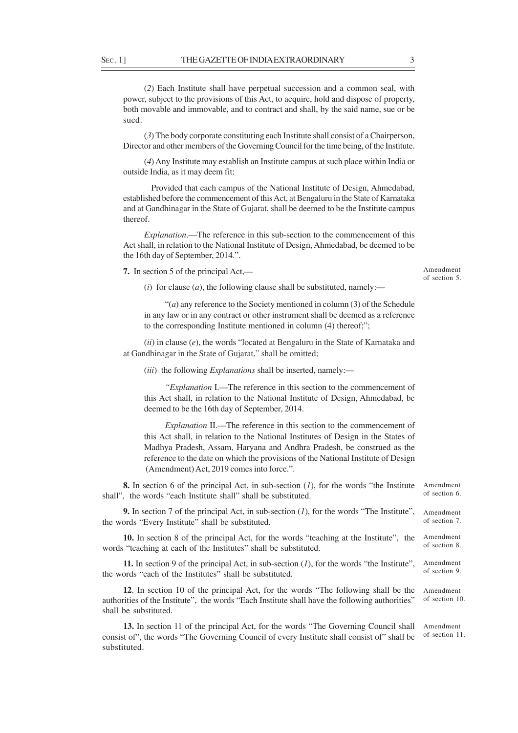(*2*) Each Institute shall have perpetual succession and a common seal, with power, subject to the provisions of this Act, to acquire, hold and dispose of property, both movable and immovable, and to contract and shall, by the said name, sue or be sued.

(*3*) The body corporate constituting each Institute shall consist of a Chairperson, Director and other members of the Governing Council for the time being, of the Institute.

(*4*) Any Institute may establish an Institute campus at such place within India or outside India, as it may deem fit:

 Provided that each campus of the National Institute of Design, Ahmedabad, established before the commencement of this Act, at Bengaluru in the State of Karnataka and at Gandhinagar in the State of Gujarat, shall be deemed to be the Institute campus thereof.

*Explanation*.—The reference in this sub-section to the commencement of this Act shall, in relation to the National Institute of Design, Ahmedabad, be deemed to be the 16th day of September, 2014.".

**7.** In section 5 of the principal Act,—

Amendment of section 5.

(*i*) for clause (*a*), the following clause shall be substituted, namely:—

"(*a*) any reference to the Society mentioned in column (3) of the Schedule in any law or in any contract or other instrument shall be deemed as a reference to the corresponding Institute mentioned in column (4) thereof;";

(*ii*) in clause (*e*), the words "located at Bengaluru in the State of Karnataka and at Gandhinagar in the State of Gujarat," shall be omitted;

(*iii*) the following *Explanations* shall be inserted, namely:—

*"Explanation* I.—The reference in this section to the commencement of this Act shall, in relation to the National Institute of Design, Ahmedabad, be deemed to be the 16th day of September, 2014.

*Explanation* II.—The reference in this section to the commencement of this Act shall, in relation to the National Institutes of Design in the States of Madhya Pradesh, Assam, Haryana and Andhra Pradesh, be construed as the reference to the date on which the provisions of the National Institute of Design (Amendment) Act, 2019 comes into force.".

**8.** In section 6 of the principal Act, in sub-section (*1*), for the words "the Institute shall", the words "each Institute shall" shall be substituted. Amendment of section 6.

**9.** In section 7 of the principal Act, in sub-section (*1*), for the words "The Institute", the words "Every Institute" shall be substituted. Amendment of section 7.

**10.** In section 8 of the principal Act, for the words "teaching at the Institute", the words "teaching at each of the Institutes" shall be substituted. Amendment of section 8.

**11.** In section 9 of the principal Act, in sub-section (*1*), for the words "the Institute", the words "each of the Institutes" shall be substituted. Amendment of section 9.

**12**. In section 10 of the principal Act, for the words "The following shall be the authorities of the Institute", the words "Each Institute shall have the following authorities" shall be substituted. Amendment of section 10.

**13.** In section 11 of the principal Act, for the words "The Governing Council shall consist of", the words "The Governing Council of every Institute shall consist of" shall be substituted. Amendment of section 11.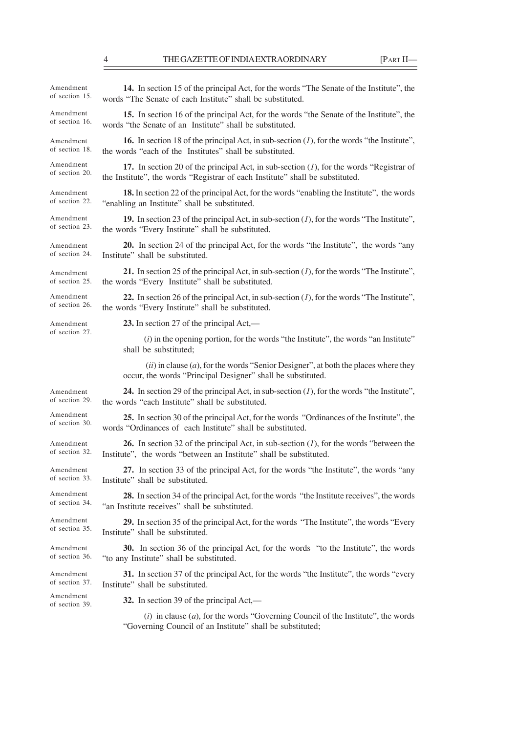$\overline{\phantom{0}}$ 

| Amendment                   | 14. In section 15 of the principal Act, for the words "The Senate of the Institute", the                                                               |
|-----------------------------|--------------------------------------------------------------------------------------------------------------------------------------------------------|
| of section 15.              | words "The Senate of each Institute" shall be substituted.                                                                                             |
| Amendment                   | 15. In section 16 of the principal Act, for the words "the Senate of the Institute", the                                                               |
| of section 16.              | words "the Senate of an Institute" shall be substituted.                                                                                               |
| Amendment                   | <b>16.</b> In section 18 of the principal Act, in sub-section $(I)$ , for the words "the Institute",                                                   |
| of section 18.              | the words "each of the Institutes" shall be substituted.                                                                                               |
| Amendment                   | 17. In section 20 of the principal Act, in sub-section $(l)$ , for the words "Registrar of                                                             |
| of section 20.              | the Institute", the words "Registrar of each Institute" shall be substituted.                                                                          |
| Amendment                   | <b>18.</b> In section 22 of the principal Act, for the words "enabling the Institute", the words                                                       |
| of section 22.              | "enabling an Institute" shall be substituted.                                                                                                          |
| Amendment                   | 19. In section 23 of the principal Act, in sub-section $(I)$ , for the words "The Institute",                                                          |
| of section 23.              | the words "Every Institute" shall be substituted.                                                                                                      |
| Amendment                   | 20. In section 24 of the principal Act, for the words "the Institute", the words "any                                                                  |
| of section 24.              | Institute" shall be substituted.                                                                                                                       |
| Amendment                   | 21. In section 25 of the principal Act, in sub-section $(I)$ , for the words "The Institute",                                                          |
| of section 25.              | the words "Every Institute" shall be substituted.                                                                                                      |
| Amendment                   | 22. In section 26 of the principal Act, in sub-section $(I)$ , for the words "The Institute",                                                          |
| of section 26.              | the words "Every Institute" shall be substituted.                                                                                                      |
| Amendment                   | 23. In section 27 of the principal Act,—                                                                                                               |
| of section 27.              | $(i)$ in the opening portion, for the words "the Institute", the words "an Institute"<br>shall be substituted;                                         |
|                             | $(ii)$ in clause $(a)$ , for the words "Senior Designer", at both the places where they<br>occur, the words "Principal Designer" shall be substituted. |
| Amendment                   | 24. In section 29 of the principal Act, in sub-section $(I)$ , for the words "the Institute",                                                          |
| of section 29.              | the words "each Institute" shall be substituted.                                                                                                       |
| Amendment                   | 25. In section 30 of the principal Act, for the words "Ordinances of the Institute", the                                                               |
| of section 30.              | words "Ordinances of each Institute" shall be substituted.                                                                                             |
| Amendment                   | <b>26.</b> In section 32 of the principal Act, in sub-section $(1)$ , for the words "between the                                                       |
| of section 32.              | Institute", the words "between an Institute" shall be substituted.                                                                                     |
| Amendment                   | 27. In section 33 of the principal Act, for the words "the Institute", the words "any                                                                  |
| of section 33.              | Institute" shall be substituted.                                                                                                                       |
| Amendment                   | 28. In section 34 of the principal Act, for the words "the Institute receives", the words                                                              |
| of section 34.              | "an Institute receives" shall be substituted.                                                                                                          |
| Amendment                   | 29. In section 35 of the principal Act, for the words "The Institute", the words "Every                                                                |
| of section 35.              | Institute" shall be substituted.                                                                                                                       |
| Amendment                   | <b>30.</b> In section 36 of the principal Act, for the words "to the Institute", the words                                                             |
| of section 36.              | "to any Institute" shall be substituted.                                                                                                               |
| Amendment                   | <b>31.</b> In section 37 of the principal Act, for the words "the Institute", the words "every                                                         |
| of section 37.              | Institute" shall be substituted.                                                                                                                       |
| Amendment<br>of section 39. | 32. In section 39 of the principal $Act$ ,—                                                                                                            |
|                             | (i) in algua (a) for the words "Coverning Council of the Institute" the words                                                                          |

(*i*) in clause (*a*), for the words "Governing Council of the Institute", the words "Governing Council of an Institute" shall be substituted;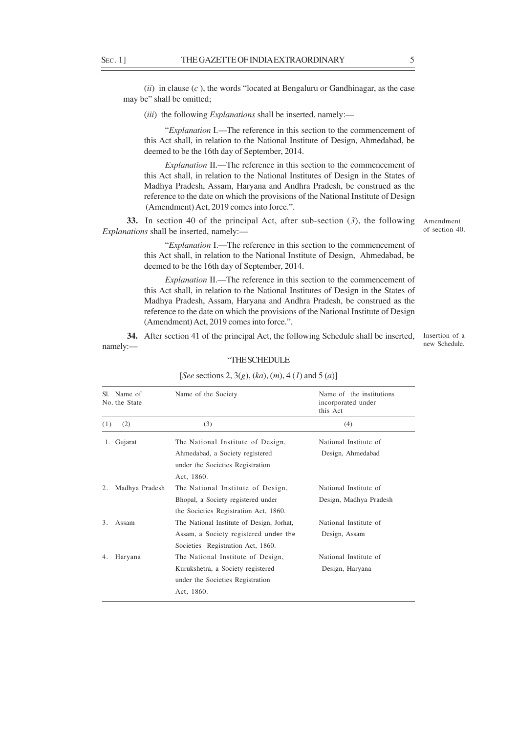(*ii*) in clause (*c* ), the words "located at Bengaluru or Gandhinagar, as the case may be" shall be omitted;

(*iii*) the following *Explanations* shall be inserted, namely:—

"*Explanation* I.—The reference in this section to the commencement of this Act shall, in relation to the National Institute of Design, Ahmedabad, be deemed to be the 16th day of September, 2014.

*Explanation* II.—The reference in this section to the commencement of this Act shall, in relation to the National Institutes of Design in the States of Madhya Pradesh, Assam, Haryana and Andhra Pradesh, be construed as the reference to the date on which the provisions of the National Institute of Design (Amendment) Act, 2019 comes into force.".

**33.** In section 40 of the principal Act, after sub-section (*3*), the following *Explanations* shall be inserted, namely:—

Amendment of section 40.

"*Explanation* I.—The reference in this section to the commencement of this Act shall, in relation to the National Institute of Design, Ahmedabad, be deemed to be the 16th day of September, 2014.

*Explanation* II.—The reference in this section to the commencement of this Act shall, in relation to the National Institutes of Design in the States of Madhya Pradesh, Assam, Haryana and Andhra Pradesh, be construed as the reference to the date on which the provisions of the National Institute of Design (Amendment) Act, 2019 comes into force.".

 **34.** After section 41 of the principal Act, the following Schedule shall be inserted, namely:—

Insertion of a new Schedule.

| Name of the Society                                                         | Name of the institutions<br>incorporated under<br>this Act |
|-----------------------------------------------------------------------------|------------------------------------------------------------|
| (3)                                                                         | (4)                                                        |
| The National Institute of Design,                                           | National Institute of                                      |
| Ahmedabad, a Society registered                                             | Design, Ahmedabad                                          |
| Act, 1860.                                                                  |                                                            |
| The National Institute of Design,                                           | National Institute of                                      |
| Bhopal, a Society registered under<br>the Societies Registration Act, 1860. | Design, Madhya Pradesh                                     |
| The National Institute of Design, Jorhat,                                   | National Institute of                                      |
| Assam, a Society registered under the<br>Societies Registration Act, 1860.  | Design, Assam                                              |
| The National Institute of Design,                                           | National Institute of                                      |
| Kurukshetra, a Society registered<br>under the Societies Registration       | Design, Haryana                                            |
|                                                                             | under the Societies Registration<br>Act, 1860.             |

#### "THE SCHEDULE

#### [*See* sections 2, 3(*g*), (*ka*), (*m*), 4 (*1*) and 5 (*a*)]